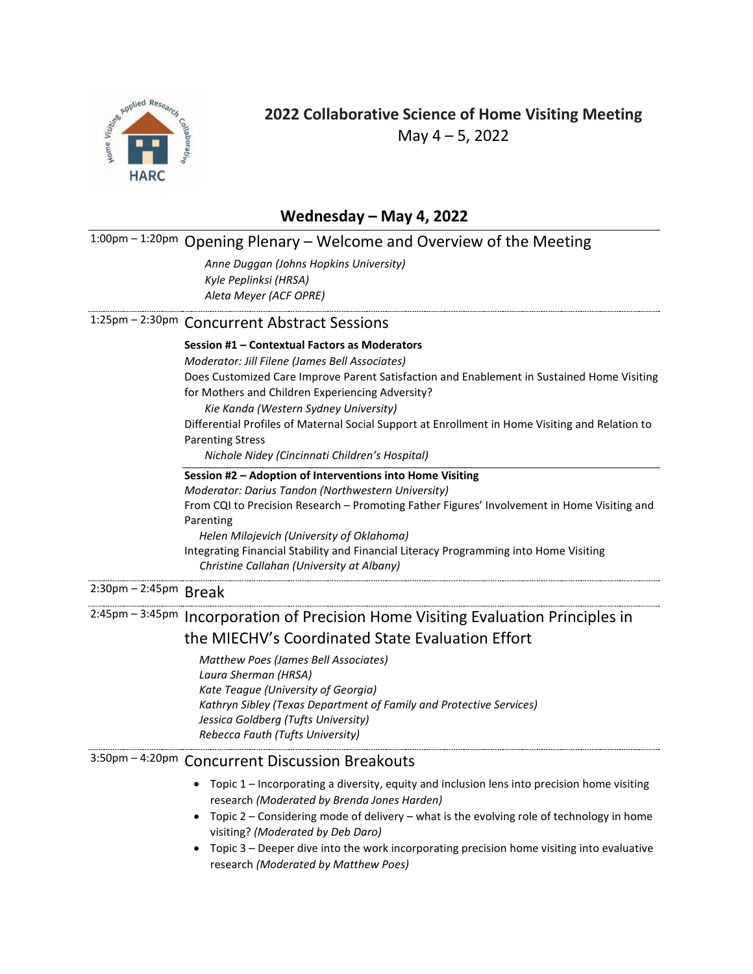

## **2022 Collaborative Science of Home Visiting Meeting**  May 4 – 5, 2022

#### **Wednesday – May 4, 2022**

## 1:00pm – 1:20pm Opening Plenary – Welcome and Overview of the Meeting

*Anne Duggan (Johns Hopkins University) Kyle Peplinksi (HRSA) Aleta Meyer (ACF OPRE)*

### 1:25pm – 2:30pm Concurrent Abstract Sessions

#### **Session #1 – Contextual Factors as Moderators**

*Moderator: Jill Filene (James Bell Associates)*

Does Customized Care Improve Parent Satisfaction and Enablement in Sustained Home Visiting for Mothers and Children Experiencing Adversity?

*Kie Kanda (Western Sydney University)*

Differential Profiles of Maternal Social Support at Enrollment in Home Visiting and Relation to Parenting Stress

*Nichole Nidey (Cincinnati Children's Hospital)*

#### **Session #2 – Adoption of Interventions into Home Visiting** *Moderator: Darius Tandon (Northwestern University)* From CQI to Precision Research – Promoting Father Figures' Involvement in Home Visiting and Parenting *Helen Milojevich (University of Oklahoma)* Integrating Financial Stability and Financial Literacy Programming into Home Visiting *Christine Callahan (University at Albany)*

# 2:30pm – 2:45pm Break

# 2:45pm – 3:45pm Incorporation of Precision Home Visiting Evaluation Principles in the MIECHV's Coordinated State Evaluation Effort

*Matthew Poes (James Bell Associates) Laura Sherman (HRSA) Kate Teague (University of Georgia) Kathryn Sibley (Texas Department of Family and Protective Services) Jessica Goldberg (Tufts University) Rebecca Fauth (Tufts University)*

## 3:50pm – 4:20pm Concurrent Discussion Breakouts

- Topic 1 Incorporating a diversity, equity and inclusion lens into precision home visiting research *(Moderated by Brenda Jones Harden)*
- Topic 2 Considering mode of delivery what is the evolving role of technology in home visiting? *(Moderated by Deb Daro)*
- Topic 3 Deeper dive into the work incorporating precision home visiting into evaluative research *(Moderated by Matthew Poes)*